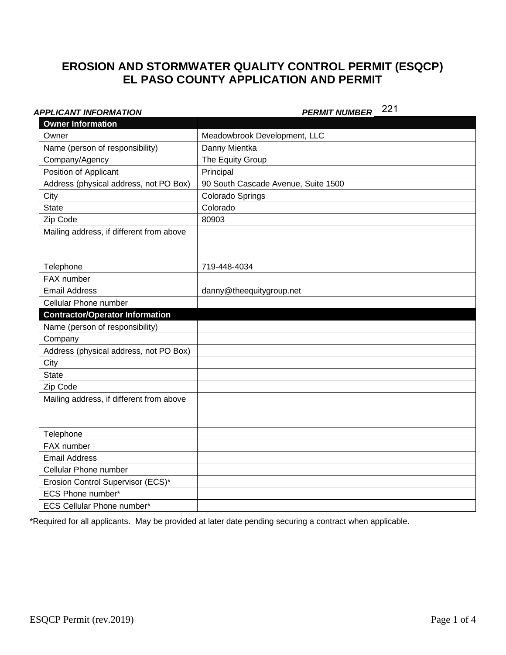# **EROSION AND STORMWATER QUALITY CONTROL PERMIT (ESQCP) EL PASO COUNTY APPLICATION AND PERMIT**

## **APPLICANT INFORMATION**

# PERMIT NUMBER 221

| <b>Owner Information</b>                 |                                     |
|------------------------------------------|-------------------------------------|
| Owner                                    | Meadowbrook Development, LLC        |
| Name (person of responsibility)          | Danny Mientka                       |
| Company/Agency                           | The Equity Group                    |
| Position of Applicant                    | Principal                           |
| Address (physical address, not PO Box)   | 90 South Cascade Avenue, Suite 1500 |
| City                                     | Colorado Springs                    |
| <b>State</b>                             | Colorado                            |
| Zip Code                                 | 80903                               |
| Mailing address, if different from above |                                     |
|                                          |                                     |
| Telephone                                | 719-448-4034                        |
| FAX number                               |                                     |
| <b>Email Address</b>                     | danny@theequitygroup.net            |
| Cellular Phone number                    |                                     |
| <b>Contractor/Operator Information</b>   |                                     |
| Name (person of responsibility)          |                                     |
| Company                                  |                                     |
| Address (physical address, not PO Box)   |                                     |
| City                                     |                                     |
| <b>State</b>                             |                                     |
| Zip Code                                 |                                     |
| Mailing address, if different from above |                                     |
|                                          |                                     |
|                                          |                                     |
| Telephone                                |                                     |
| FAX number                               |                                     |
| <b>Email Address</b>                     |                                     |
| Cellular Phone number                    |                                     |
| Erosion Control Supervisor (ECS)*        |                                     |
| ECS Phone number*                        |                                     |
| <b>ECS Cellular Phone number*</b>        |                                     |

\*Required for all applicants. May be provided at later date pending securing a contract when applicable.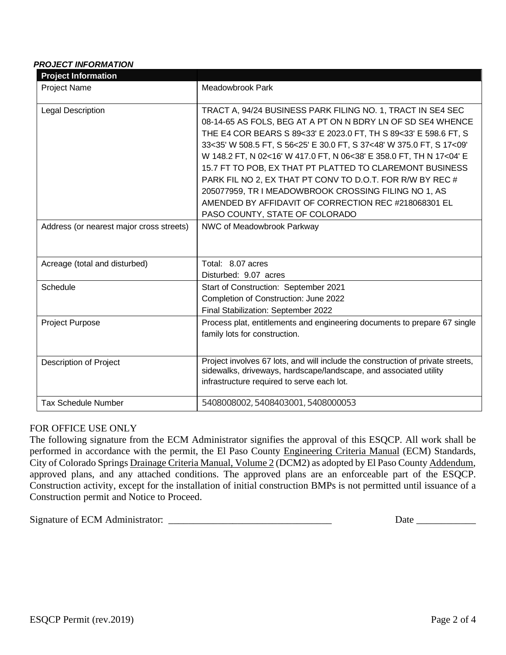### *PROJECT INFORMATION*

| <b>Project Information</b>               |                                                                                                                                                                                                                                                                                                                                                                                                                                                                                                                                                                                        |
|------------------------------------------|----------------------------------------------------------------------------------------------------------------------------------------------------------------------------------------------------------------------------------------------------------------------------------------------------------------------------------------------------------------------------------------------------------------------------------------------------------------------------------------------------------------------------------------------------------------------------------------|
| <b>Project Name</b>                      | <b>Meadowbrook Park</b>                                                                                                                                                                                                                                                                                                                                                                                                                                                                                                                                                                |
| <b>Legal Description</b>                 | TRACT A, 94/24 BUSINESS PARK FILING NO. 1, TRACT IN SE4 SEC<br>08-14-65 AS FOLS, BEG AT A PT ON N BDRY LN OF SD SE4 WHENCE<br>THE E4 COR BEARS S 89<33' E 2023.0 FT, TH S 89<33' E 598.6 FT, S<br>33<35' W 508.5 FT, S 56<25' E 30.0 FT, S 37<48' W 375.0 FT, S 17<09'<br>W 148.2 FT, N 02<16' W 417.0 FT, N 06<38' E 358.0 FT, TH N 17<04' E<br>15.7 FT TO POB, EX THAT PT PLATTED TO CLAREMONT BUSINESS<br>PARK FIL NO 2, EX THAT PT CONV TO D.O.T. FOR R/W BY REC #<br>205077959, TR I MEADOWBROOK CROSSING FILING NO 1, AS<br>AMENDED BY AFFIDAVIT OF CORRECTION REC #218068301 EL |
| Address (or nearest major cross streets) | PASO COUNTY, STATE OF COLORADO<br>NWC of Meadowbrook Parkway                                                                                                                                                                                                                                                                                                                                                                                                                                                                                                                           |
| Acreage (total and disturbed)            | Total: 8.07 acres<br>Disturbed: 9.07 acres                                                                                                                                                                                                                                                                                                                                                                                                                                                                                                                                             |
| Schedule                                 | Start of Construction: September 2021<br>Completion of Construction: June 2022<br>Final Stabilization: September 2022                                                                                                                                                                                                                                                                                                                                                                                                                                                                  |
| <b>Project Purpose</b>                   | Process plat, entitlements and engineering documents to prepare 67 single<br>family lots for construction.                                                                                                                                                                                                                                                                                                                                                                                                                                                                             |
| <b>Description of Project</b>            | Project involves 67 lots, and will include the construction of private streets,<br>sidewalks, driveways, hardscape/landscape, and associated utility<br>infrastructure required to serve each lot.                                                                                                                                                                                                                                                                                                                                                                                     |
| <b>Tax Schedule Number</b>               | 5408008002, 5408403001, 5408000053                                                                                                                                                                                                                                                                                                                                                                                                                                                                                                                                                     |

### FOR OFFICE USE ONLY

The following signature from the ECM Administrator signifies the approval of this ESQCP. All work shall be performed in accordance with the permit, the El Paso County Engineering Criteria Manual (ECM) Standards, City of Colorado Springs Drainage Criteria Manual, Volume 2 (DCM2) as adopted by El Paso County Addendum, approved plans, and any attached conditions. The approved plans are an enforceable part of the ESQCP. Construction activity, except for the installation of initial construction BMPs is not permitted until issuance of a Construction permit and Notice to Proceed.

Signature of ECM Administrator: \_\_\_\_\_\_\_\_\_\_\_\_\_\_\_\_\_\_\_\_\_\_\_\_\_\_\_\_\_\_\_\_\_ Date \_\_\_\_\_\_\_\_\_\_\_\_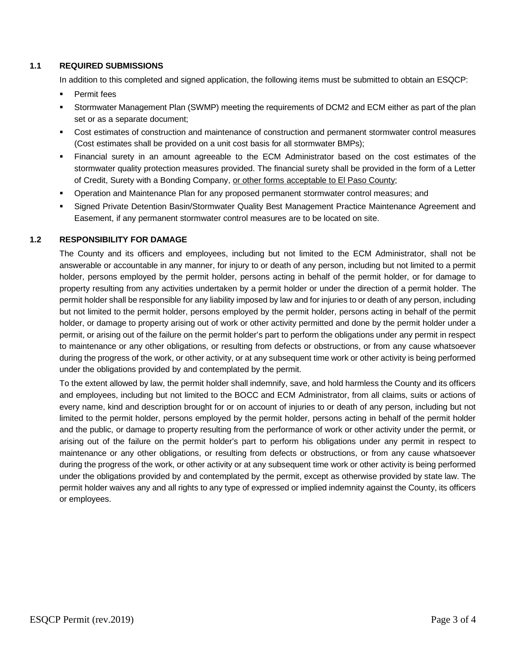#### **1.1 REQUIRED SUBMISSIONS**

In addition to this completed and signed application, the following items must be submitted to obtain an ESQCP:

- § Permit fees
- § Stormwater Management Plan (SWMP) meeting the requirements of DCM2 and ECM either as part of the plan set or as a separate document;
- Cost estimates of construction and maintenance of construction and permanent stormwater control measures (Cost estimates shall be provided on a unit cost basis for all stormwater BMPs);
- Financial surety in an amount agreeable to the ECM Administrator based on the cost estimates of the stormwater quality protection measures provided. The financial surety shall be provided in the form of a Letter of Credit, Surety with a Bonding Company, or other forms acceptable to El Paso County;
- § Operation and Maintenance Plan for any proposed permanent stormwater control measures; and
- § Signed Private Detention Basin/Stormwater Quality Best Management Practice Maintenance Agreement and Easement, if any permanent stormwater control measures are to be located on site.

#### **1.2 RESPONSIBILITY FOR DAMAGE**

The County and its officers and employees, including but not limited to the ECM Administrator, shall not be answerable or accountable in any manner, for injury to or death of any person, including but not limited to a permit holder, persons employed by the permit holder, persons acting in behalf of the permit holder, or for damage to property resulting from any activities undertaken by a permit holder or under the direction of a permit holder. The permit holder shall be responsible for any liability imposed by law and for injuries to or death of any person, including but not limited to the permit holder, persons employed by the permit holder, persons acting in behalf of the permit holder, or damage to property arising out of work or other activity permitted and done by the permit holder under a permit, or arising out of the failure on the permit holder's part to perform the obligations under any permit in respect to maintenance or any other obligations, or resulting from defects or obstructions, or from any cause whatsoever during the progress of the work, or other activity, or at any subsequent time work or other activity is being performed under the obligations provided by and contemplated by the permit.

To the extent allowed by law, the permit holder shall indemnify, save, and hold harmless the County and its officers and employees, including but not limited to the BOCC and ECM Administrator, from all claims, suits or actions of every name, kind and description brought for or on account of injuries to or death of any person, including but not limited to the permit holder, persons employed by the permit holder, persons acting in behalf of the permit holder and the public, or damage to property resulting from the performance of work or other activity under the permit, or arising out of the failure on the permit holder's part to perform his obligations under any permit in respect to maintenance or any other obligations, or resulting from defects or obstructions, or from any cause whatsoever during the progress of the work, or other activity or at any subsequent time work or other activity is being performed under the obligations provided by and contemplated by the permit, except as otherwise provided by state law. The permit holder waives any and all rights to any type of expressed or implied indemnity against the County, its officers or employees.